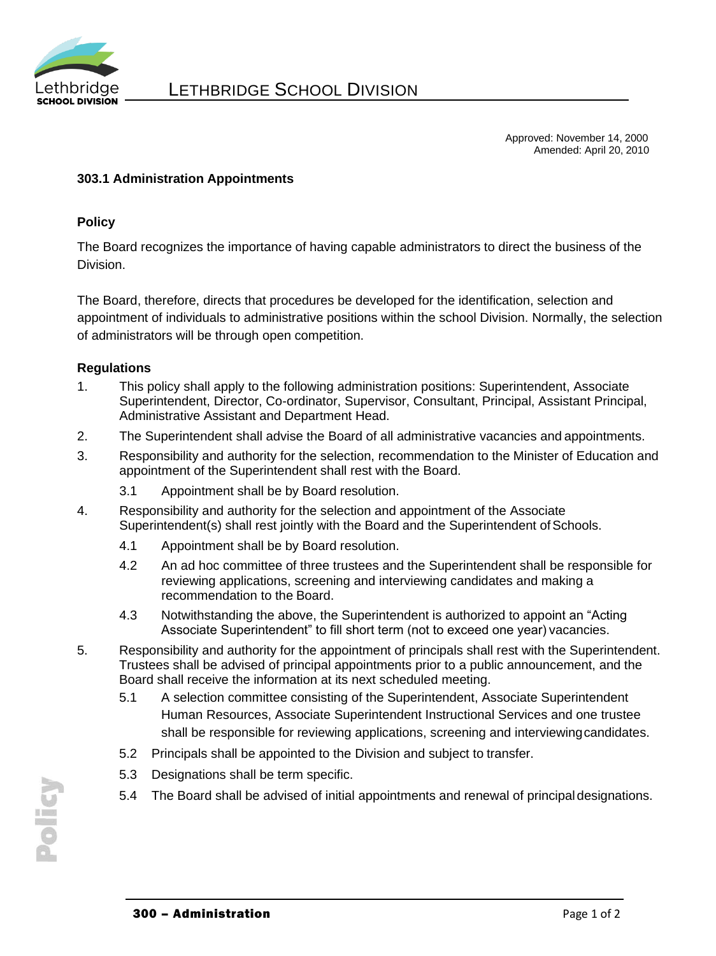

Approved: November 14, 2000 Amended: April 20, 2010

## **303.1 Administration Appointments**

### **Policy**

The Board recognizes the importance of having capable administrators to direct the business of the Division.

The Board, therefore, directs that procedures be developed for the identification, selection and appointment of individuals to administrative positions within the school Division. Normally, the selection of administrators will be through open competition.

### **Regulations**

- 1. This policy shall apply to the following administration positions: Superintendent, Associate Superintendent, Director, Co-ordinator, Supervisor, Consultant, Principal, Assistant Principal, Administrative Assistant and Department Head.
- 2. The Superintendent shall advise the Board of all administrative vacancies and appointments.
- 3. Responsibility and authority for the selection, recommendation to the Minister of Education and appointment of the Superintendent shall rest with the Board.
	- 3.1 Appointment shall be by Board resolution.
- 4. Responsibility and authority for the selection and appointment of the Associate Superintendent(s) shall rest jointly with the Board and the Superintendent of Schools.
	- 4.1 Appointment shall be by Board resolution.
	- 4.2 An ad hoc committee of three trustees and the Superintendent shall be responsible for reviewing applications, screening and interviewing candidates and making a recommendation to the Board.
	- 4.3 Notwithstanding the above, the Superintendent is authorized to appoint an "Acting Associate Superintendent" to fill short term (not to exceed one year) vacancies.
- 5. Responsibility and authority for the appointment of principals shall rest with the Superintendent. Trustees shall be advised of principal appointments prior to a public announcement, and the Board shall receive the information at its next scheduled meeting.
	- 5.1 A selection committee consisting of the Superintendent, Associate Superintendent Human Resources, Associate Superintendent Instructional Services and one trustee shall be responsible for reviewing applications, screening and interviewingcandidates.
	- 5.2 Principals shall be appointed to the Division and subject to transfer.
	- 5.3 Designations shall be term specific.
	- 5.4 The Board shall be advised of initial appointments and renewal of principal designations.